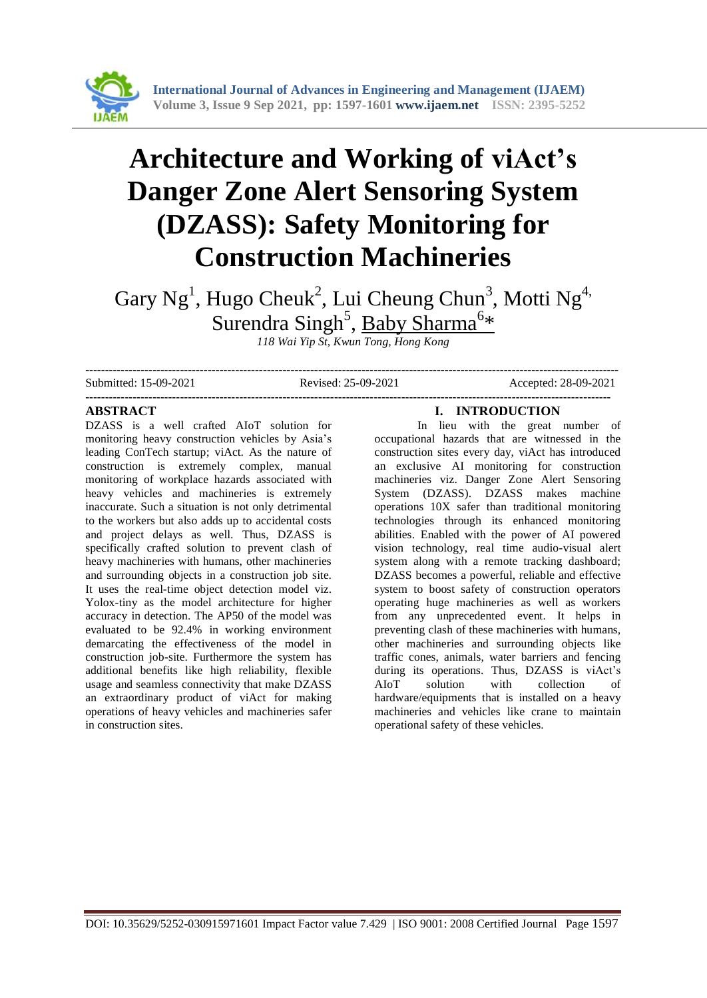

# **Architecture and Working of viAct's Danger Zone Alert Sensoring System (DZASS): Safety Monitoring for Construction Machineries**

Gary Ng<sup>1</sup>, Hugo Cheuk<sup>2</sup>, Lui Cheung Chun<sup>3</sup>, Motti Ng<sup>4,</sup> Surendra Singh<sup>5</sup>, Baby Sharma<sup>6\*</sup>

*118 Wai Yip St, Kwun Tong, Hong Kong*

Submitted: 15-09-2021 Revised: 25-09-2021 Accepted: 28-09-2021

**--------------------------------------------------------------------------------------------------------------------------------------- -------------------------------------------------------------------------------------------------------------------------------------**

#### **ABSTRACT**

DZASS is a well crafted AIoT solution for monitoring heavy construction vehicles by Asia's leading ConTech startup; viAct. As the nature of construction is extremely complex, manual monitoring of workplace hazards associated with heavy vehicles and machineries is extremely inaccurate. Such a situation is not only detrimental to the workers but also adds up to accidental costs and project delays as well. Thus, DZASS is specifically crafted solution to prevent clash of heavy machineries with humans, other machineries and surrounding objects in a construction job site. It uses the real-time object detection model viz. Yolox-tiny as the model architecture for higher accuracy in detection. The AP50 of the model was evaluated to be 92.4% in working environment demarcating the effectiveness of the model in construction job-site. Furthermore the system has additional benefits like high reliability, flexible usage and seamless connectivity that make DZASS an extraordinary product of viAct for making operations of heavy vehicles and machineries safer in construction sites.

# **I. INTRODUCTION**

In lieu with the great number of occupational hazards that are witnessed in the construction sites every day, viAct has introduced an exclusive AI monitoring for construction machineries viz. Danger Zone Alert Sensoring System (DZASS). DZASS makes machine operations 10X safer than traditional monitoring technologies through its enhanced monitoring abilities. Enabled with the power of AI powered vision technology, real time audio-visual alert system along with a remote tracking dashboard; DZASS becomes a powerful, reliable and effective system to boost safety of construction operators operating huge machineries as well as workers from any unprecedented event. It helps in preventing clash of these machineries with humans, other machineries and surrounding objects like traffic cones, animals, water barriers and fencing during its operations. Thus, DZASS is viAct's AIoT solution with collection of hardware/equipments that is installed on a heavy machineries and vehicles like crane to maintain operational safety of these vehicles.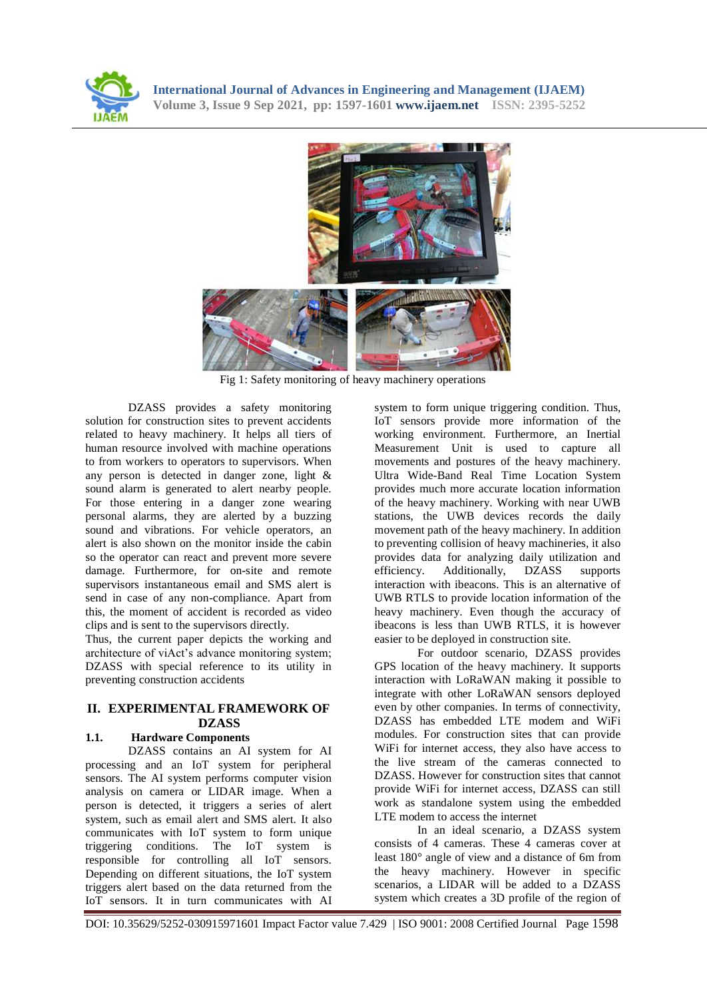



Fig 1: Safety monitoring of heavy machinery operations

DZASS provides a safety monitoring solution for construction sites to prevent accidents related to heavy machinery. It helps all tiers of human resource involved with machine operations to from workers to operators to supervisors. When any person is detected in danger zone, light & sound alarm is generated to alert nearby people. For those entering in a danger zone wearing personal alarms, they are alerted by a buzzing sound and vibrations. For vehicle operators, an alert is also shown on the monitor inside the cabin so the operator can react and prevent more severe damage. Furthermore, for on-site and remote supervisors instantaneous email and SMS alert is send in case of any non-compliance. Apart from this, the moment of accident is recorded as video clips and is sent to the supervisors directly.

Thus, the current paper depicts the working and architecture of viAct's advance monitoring system; DZASS with special reference to its utility in preventing construction accidents

# **II. EXPERIMENTAL FRAMEWORK OF DZASS**

## **1.1. Hardware Components**

DZASS contains an AI system for AI processing and an IoT system for peripheral sensors. The AI system performs computer vision analysis on camera or LIDAR image. When a person is detected, it triggers a series of alert system, such as email alert and SMS alert. It also communicates with IoT system to form unique triggering conditions. The IoT system is responsible for controlling all IoT sensors. Depending on different situations, the IoT system triggers alert based on the data returned from the IoT sensors. It in turn communicates with AI

system to form unique triggering condition. Thus, IoT sensors provide more information of the working environment. Furthermore, an Inertial Measurement Unit is used to capture all movements and postures of the heavy machinery. Ultra Wide-Band Real Time Location System provides much more accurate location information of the heavy machinery. Working with near UWB stations, the UWB devices records the daily movement path of the heavy machinery. In addition to preventing collision of heavy machineries, it also provides data for analyzing daily utilization and efficiency. Additionally, DZASS supports interaction with ibeacons. This is an alternative of UWB RTLS to provide location information of the heavy machinery. Even though the accuracy of ibeacons is less than UWB RTLS, it is however easier to be deployed in construction site.

For outdoor scenario, DZASS provides GPS location of the heavy machinery. It supports interaction with LoRaWAN making it possible to integrate with other LoRaWAN sensors deployed even by other companies. In terms of connectivity, DZASS has embedded LTE modem and WiFi modules. For construction sites that can provide WiFi for internet access, they also have access to the live stream of the cameras connected to DZASS. However for construction sites that cannot provide WiFi for internet access, DZASS can still work as standalone system using the embedded LTE modem to access the internet

In an ideal scenario, a DZASS system consists of 4 cameras. These 4 cameras cover at least 180° angle of view and a distance of 6m from the heavy machinery. However in specific scenarios, a LIDAR will be added to a DZASS system which creates a 3D profile of the region of

DOI: 10.35629/5252-030915971601 Impact Factor value 7.429 | ISO 9001: 2008 Certified Journal Page 1598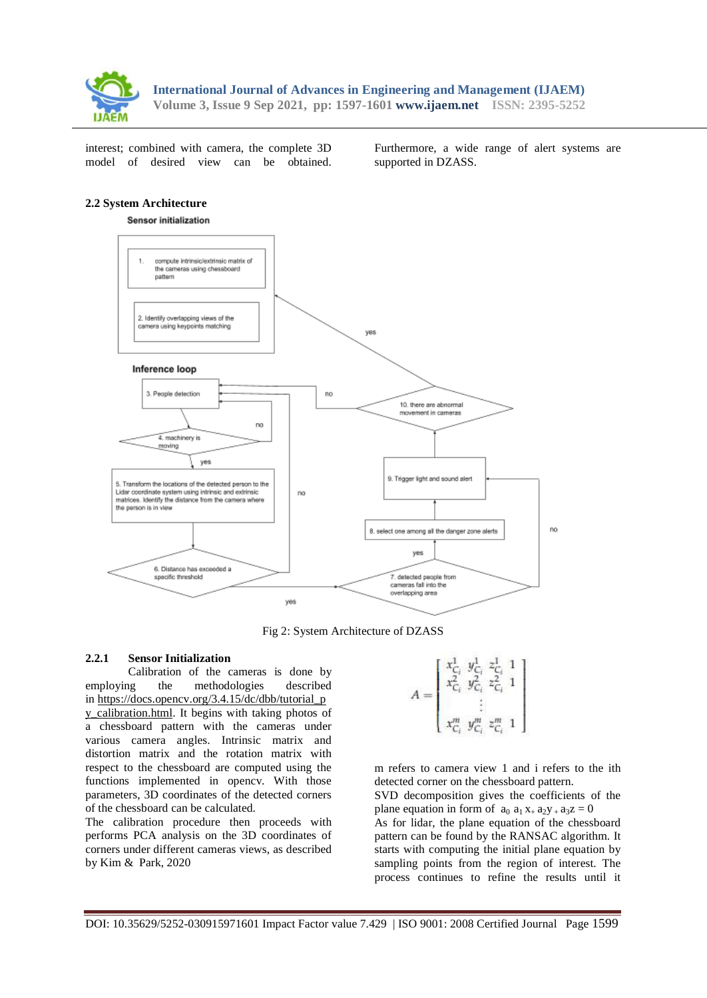

interest; combined with camera, the complete 3D model of desired view can be obtained. Furthermore, a wide range of alert systems are supported in DZASS.

#### **2.2 System Architecture**



Fig 2: System Architecture of DZASS

#### **2.2.1 Sensor Initialization**

Calibration of the cameras is done by employing the methodologies described in https://docs.opency.org/3.4.15/dc/dbb/tutorial\_p y calibration.html. It begins with taking photos of a chessboard pattern with the cameras under various camera angles. Intrinsic matrix and distortion matrix and the rotation matrix with respect to the chessboard are computed using the functions implemented in opencv. With those parameters, 3D coordinates of the detected corners of the chessboard can be calculated.

The calibration procedure then proceeds with performs PCA analysis on the 3D coordinates of corners under different cameras views, as described by Kim & Park, 2020

$$
A = \left[ \begin{array}{l} x_{C_i}^1 \ y_{C_i}^1 \ z_{C_i}^2 \\ x_{C_i}^2 \ y_{C_i}^2 \ z_{C_i}^2 \\ \vdots \\ x_{C_i}^m \ y_{C_i}^m \ z_{C_i}^m \ 1 \end{array} \right]
$$

m refers to camera view 1 and i refers to the ith detected corner on the chessboard pattern.

SVD decomposition gives the coefficients of the plane equation in form of  $a_0$   $a_1 x_+ a_2 y_+ a_3 z = 0$ 

As for lidar, the plane equation of the chessboard pattern can be found by the RANSAC algorithm. It starts with computing the initial plane equation by sampling points from the region of interest. The process continues to refine the results until it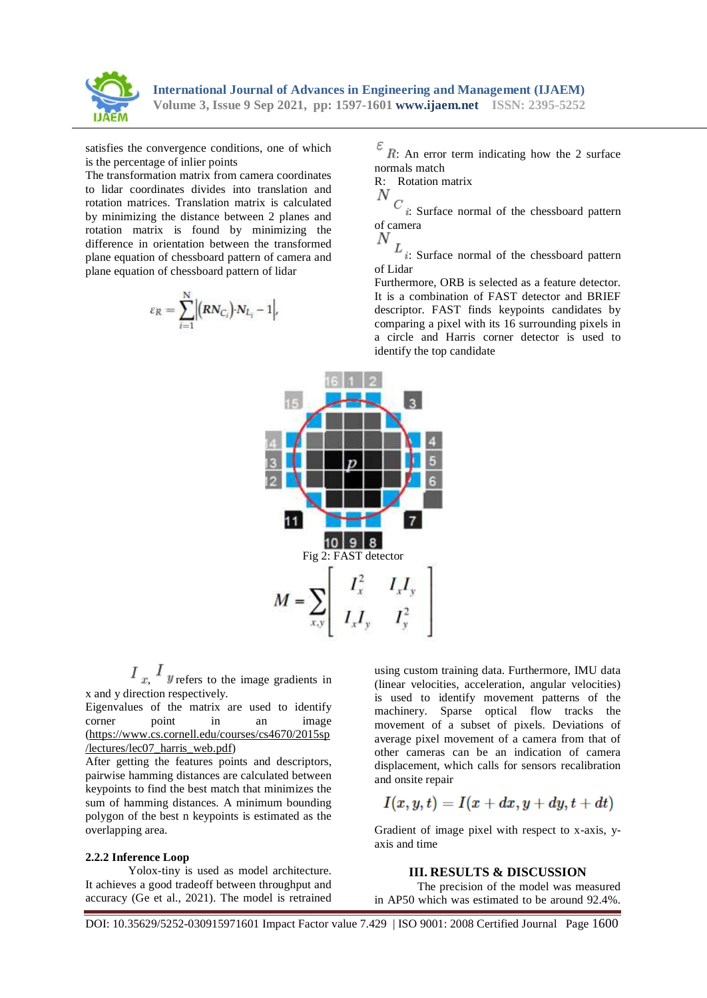

satisfies the convergence conditions, one of which is the percentage of inlier points

The transformation matrix from camera coordinates to lidar coordinates divides into translation and rotation matrices. Translation matrix is calculated by minimizing the distance between 2 planes and rotation matrix is found by minimizing the difference in orientation between the transformed plane equation of chessboard pattern of camera and plane equation of chessboard pattern of lidar

$$
\varepsilon_R = \sum_{i=1}^N \Bigl| \bigl(RN_{C_i}\bigr) \cdot N_{L_i} - 1 \Bigr|,
$$

 $\mathscr{E}$  R: An error term indicating how the 2 surface normals match

R: Rotation matrix

$$
\mathbf{v}_c
$$

: Surface normal of the chessboard pattern of camera N

 $L_{i:}$  Surface normal of the chessboard pattern of Lidar

Furthermore, ORB is selected as a feature detector. It is a combination of FAST detector and BRIEF descriptor. FAST finds keypoints candidates by comparing a pixel with its 16 surrounding pixels in a circle and Harris corner detector is used to identify the top candidate



 $I_x$ ,  $I_y$  refers to the image gradients in x and y direction respectively.

Eigenvalues of the matrix are used to identify corner point in an image [\(https://www.cs.cornell.edu/courses/cs4670/2015sp](https://www.google.com/url?q=https://www.google.com/url?q%3Dhttps://www.cs.cornell.edu/courses/cs4670/2015sp/lectures/lec07_harris_web.pdf%26amp;sa%3DD%26amp;source%3Deditors%26amp;ust%3D1632143660008000%26amp;usg%3DAOvVaw087C7dBs7UoV4oPm9T6h-8&sa=D&source=editors&ust=1632143660016000&usg=AOvVaw0MEPJQ7_ipcOhnfvKthxqE) [/lectures/lec07\\_harris\\_web.pdf\)](https://www.google.com/url?q=https://www.google.com/url?q%3Dhttps://www.cs.cornell.edu/courses/cs4670/2015sp/lectures/lec07_harris_web.pdf%26amp;sa%3DD%26amp;source%3Deditors%26amp;ust%3D1632143660008000%26amp;usg%3DAOvVaw087C7dBs7UoV4oPm9T6h-8&sa=D&source=editors&ust=1632143660016000&usg=AOvVaw0MEPJQ7_ipcOhnfvKthxqE)

After getting the features points and descriptors, pairwise hamming distances are calculated between keypoints to find the best match that minimizes the sum of hamming distances. A minimum bounding polygon of the best n keypoints is estimated as the overlapping area.

#### **2.2.2 Inference Loop**

Yolox-tiny is used as model architecture. It achieves a good tradeoff between throughput and accuracy (Ge et al., 2021). The model is retrained

using custom training data. Furthermore, IMU data (linear velocities, acceleration, angular velocities) is used to identify movement patterns of the machinery. Sparse optical flow tracks the movement of a subset of pixels. Deviations of average pixel movement of a camera from that of other cameras can be an indication of camera displacement, which calls for sensors recalibration and onsite repair

$$
I(x,y,t)=I(x+dx,y+dy,t+dt)\\
$$

Gradient of image pixel with respect to x-axis, yaxis and time

#### **III. RESULTS & DISCUSSION**

The precision of the model was measured in AP50 which was estimated to be around 92.4%.

DOI: 10.35629/5252-030915971601 Impact Factor value 7.429 | ISO 9001: 2008 Certified Journal Page 1600